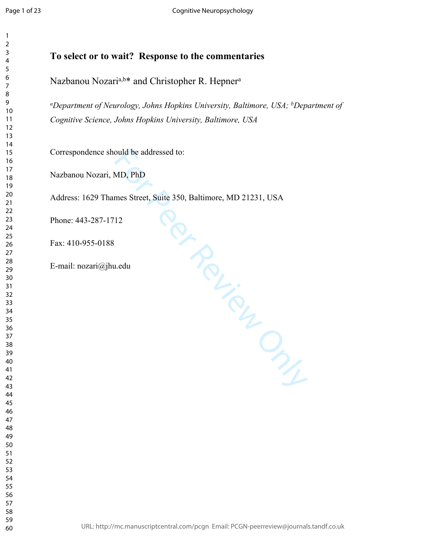$\mathbf{1}$  $\overline{2}$  $\overline{4}$  $\overline{7}$ 

# **To select or to wait? Response to the commentaries**

Nazbanou Nozari<sup>a,b\*</sup> and Christopher R. Hepner<sup>a</sup>

*<sup>a</sup>Department of Neurology, Johns Hopkins University, Baltimore, USA; <sup>b</sup>Department of Cognitive Science, Johns Hopkins University, Baltimore, USA*

Correspondence should be addressed to:

Nazbanou Nozari, MD, PhD

**Fronting Prices Print** Address: 1629 Thames Street, Suite 350, Baltimore, MD 21231, USA

Phone: 443-287-1712

Fax: 410-955-0188

E-mail: nozari@jhu.edu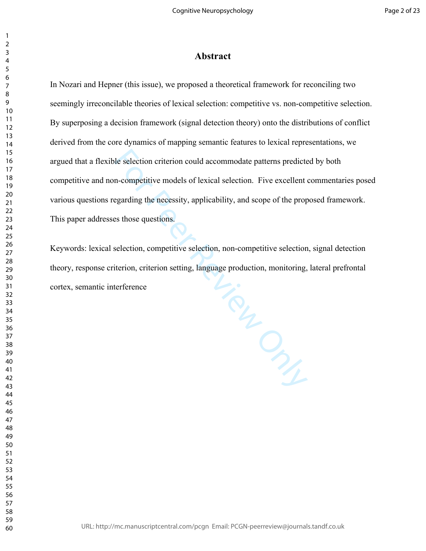# **Abstract**

In Nozari and Hepner (this issue), we proposed a theoretical framework for reconciling two seemingly irreconcilable theories of lexical selection: competitive vs. non-competitive selection. By superposing a decision framework (signal detection theory) onto the distributions of conflict derived from the core dynamics of mapping semantic features to lexical representations, we argued that a flexible selection criterion could accommodate patterns predicted by both competitive and non-competitive models of lexical selection. Five excellent commentaries posed various questions regarding the necessity, applicability, and scope of the proposed framework. This paper addresses those questions.

For Pulling City Keywords: lexical selection, competitive selection, non-competitive selection, signal detection theory, response criterion, criterion setting, language production, monitoring, lateral prefrontal cortex, semantic interference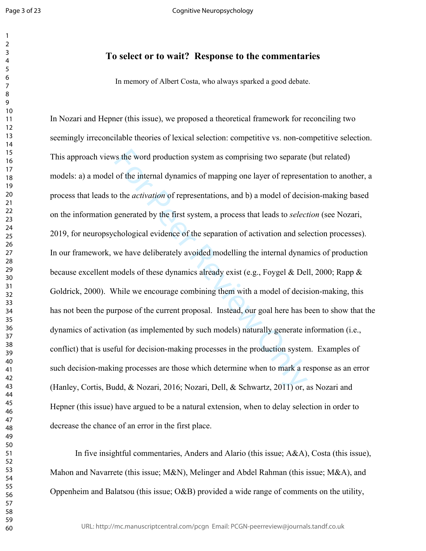$\mathbf{1}$  $\overline{2}$  $\overline{4}$  $\overline{7}$ 

Cognitive Neuropsychology

# **To select or to wait? Response to the commentaries**

In memory of Albert Costa, who always sparked a good debate.

s the word production system as comprising two separate<br>of the internal dynamics of mapping one layer of represer<br>o the *activation* of representations, and b) a model of decis<br>generated by the first system, a process tha In Nozari and Hepner (this issue), we proposed a theoretical framework for reconciling two seemingly irreconcilable theories of lexical selection: competitive vs. non-competitive selection. This approach views the word production system as comprising two separate (but related) models: a) a model of the internal dynamics of mapping one layer of representation to another, a process that leads to the *activation* of representations, and b) a model of decision-making based on the information generated by the first system, a process that leads to *selection* (see Nozari, 2019, for neuropsychological evidence of the separation of activation and selection processes). In our framework, we have deliberately avoided modelling the internal dynamics of production because excellent models of these dynamics already exist (e.g., Foygel & Dell, 2000; Rapp  $\&$ Goldrick, 2000). While we encourage combining them with a model of decision-making, this has not been the purpose of the current proposal. Instead, our goal here has been to show that the dynamics of activation (as implemented by such models) naturally generate information (i.e., conflict) that is useful for decision-making processes in the production system. Examples of such decision-making processes are those which determine when to mark a response as an error (Hanley, Cortis, Budd, & Nozari, 2016; Nozari, Dell, & Schwartz, 2011) or, as Nozari and Hepner (this issue) have argued to be a natural extension, when to delay selection in order to decrease the chance of an error in the first place.

In five insightful commentaries, Anders and Alario (this issue; A&A), Costa (this issue), Mahon and Navarrete (this issue; M&N), Melinger and Abdel Rahman (this issue; M&A), and Oppenheim and Balatsou (this issue; O&B) provided a wide range of comments on the utility,

URL: http://mc.manuscriptcentral.com/pcgn Email: PCGN-peerreview@journals.tandf.co.uk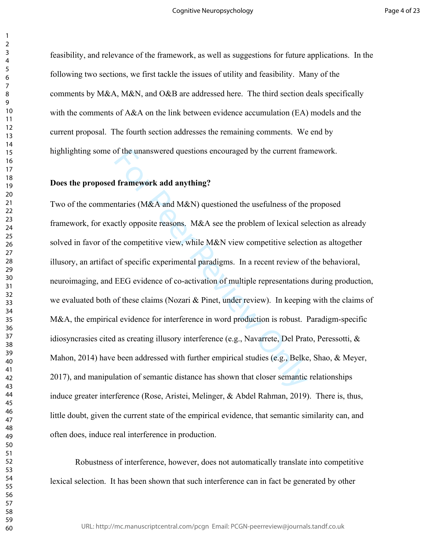$\mathbf{1}$ 

feasibility, and relevance of the framework, as well as suggestions for future applications. In the following two sections, we first tackle the issues of utility and feasibility. Many of the comments by M&A, M&N, and O&B are addressed here. The third section deals specifically with the comments of A&A on the link between evidence accumulation (EA) models and the current proposal. The fourth section addresses the remaining comments. We end by highlighting some of the unanswered questions encouraged by the current framework.

# **Does the proposed framework add anything?**

of the unanswered questions encouraged by the current fra<br> **I framework add anything?**<br>
Intaries (M&A and M&N) questioned the usefulness of the<br>
celty opposite reasons. M&A see the problem of lexical se<br>
the competitive v Two of the commentaries (M&A and M&N) questioned the usefulness of the proposed framework, for exactly opposite reasons. M&A see the problem of lexical selection as already solved in favor of the competitive view, while M&N view competitive selection as altogether illusory, an artifact of specific experimental paradigms. In a recent review of the behavioral, neuroimaging, and EEG evidence of co-activation of multiple representations during production, we evaluated both of these claims (Nozari & Pinet, under review). In keeping with the claims of M&A, the empirical evidence for interference in word production is robust. Paradigm-specific idiosyncrasies cited as creating illusory interference (e.g., Navarrete, Del Prato, Peressotti, & Mahon, 2014) have been addressed with further empirical studies (e.g., Belke, Shao, & Meyer, 2017), and manipulation of semantic distance has shown that closer semantic relationships induce greater interference (Rose, Aristei, Melinger, & Abdel Rahman, 2019). There is, thus, little doubt, given the current state of the empirical evidence, that semantic similarity can, and often does, induce real interference in production.

Robustness of interference, however, does not automatically translate into competitive lexical selection. It has been shown that such interference can in fact be generated by other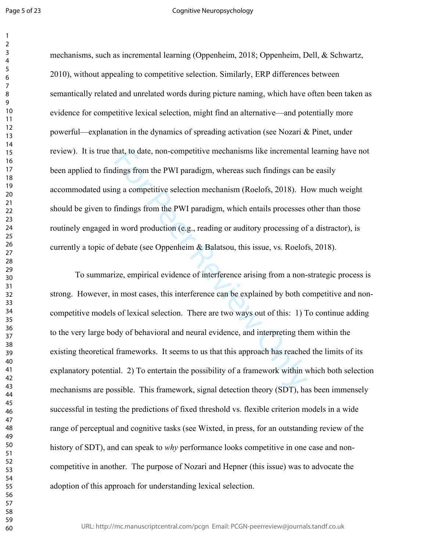### Cognitive Neuropsychology

mechanisms, such as incremental learning (Oppenheim, 2018; Oppenheim, Dell, & Schwartz, 2010), without appealing to competitive selection. Similarly, ERP differences between semantically related and unrelated words during picture naming, which have often been taken as evidence for competitive lexical selection, might find an alternative—and potentially more powerful—explanation in the dynamics of spreading activation (see Nozari & Pinet, under review). It is true that, to date, non-competitive mechanisms like incremental learning have not been applied to findings from the PWI paradigm, whereas such findings can be easily accommodated using a competitive selection mechanism (Roelofs, 2018). How much weight should be given to findings from the PWI paradigm, which entails processes other than those routinely engaged in word production (e.g., reading or auditory processing of a distractor), is currently a topic of debate (see Oppenheim & Balatsou, this issue, vs. Roelofs, 2018).

hat, to date, non-competitive mechanisms like incremental<br>lings from the PWI paradigm, whereas such findings can b<br>g a competitive selection mechanism (Roelofs, 2018). He<br>findings from the PWI paradigm, which entails proce To summarize, empirical evidence of interference arising from a non-strategic process is strong. However, in most cases, this interference can be explained by both competitive and noncompetitive models of lexical selection. There are two ways out of this: 1) To continue adding to the very large body of behavioral and neural evidence, and interpreting them within the existing theoretical frameworks. It seems to us that this approach has reached the limits of its explanatory potential. 2) To entertain the possibility of a framework within which both selection mechanisms are possible. This framework, signal detection theory (SDT), has been immensely successful in testing the predictions of fixed threshold vs. flexible criterion models in a wide range of perceptual and cognitive tasks (see Wixted, in press, for an outstanding review of the history of SDT), and can speak to *why* performance looks competitive in one case and noncompetitive in another. The purpose of Nozari and Hepner (this issue) was to advocate the adoption of this approach for understanding lexical selection.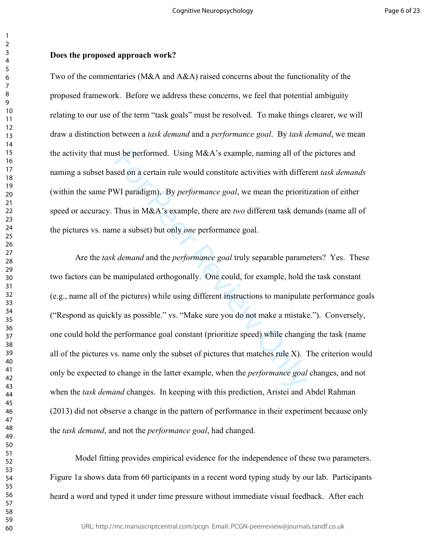### **Does the proposed approach work?**

Two of the commentaries (M&A and A&A) raised concerns about the functionality of the proposed framework. Before we address these concerns, we feel that potential ambiguity relating to our use of the term "task goals" must be resolved. To make things clearer, we will draw a distinction between a *task demand* and a *performance goal*. By *task demand*, we mean the activity that must be performed. Using M&A's example, naming all of the pictures and naming a subset based on a certain rule would constitute activities with different *task demands* (within the same PWI paradigm). By *performance goal*, we mean the prioritization of either speed or accuracy. Thus in M&A's example, there are *two* different task demands (name all of the pictures vs. name a subset) but only *one* performance goal.

st be performed. Using M&A's example, naming all of th<br>sed on a certain rule would constitute activities with differ<br>WI paradigm). By *performance goal*, we mean the prioriti<br>Thus in M&A's example, there are *two* differen Are the *task demand* and the *performance goal* truly separable parameters? Yes. These two factors can be manipulated orthogonally. One could, for example, hold the task constant (e.g., name all of the pictures) while using different instructions to manipulate performance goals ("Respond as quickly as possible." vs. "Make sure you do not make a mistake."). Conversely, one could hold the performance goal constant (prioritize speed) while changing the task (name all of the pictures vs. name only the subset of pictures that matches rule  $X$ ). The criterion would only be expected to change in the latter example, when the *performance goal* changes, and not when the *task demand* changes. In keeping with this prediction, Aristei and Abdel Rahman (2013) did not observe a change in the pattern of performance in their experiment because only the *task demand*, and not the *performance goal*, had changed.

Model fitting provides empirical evidence for the independence of these two parameters. Figure 1a shows data from 60 participants in a recent word typing study by our lab. Participants heard a word and typed it under time pressure without immediate visual feedback. After each

 $\mathbf{1}$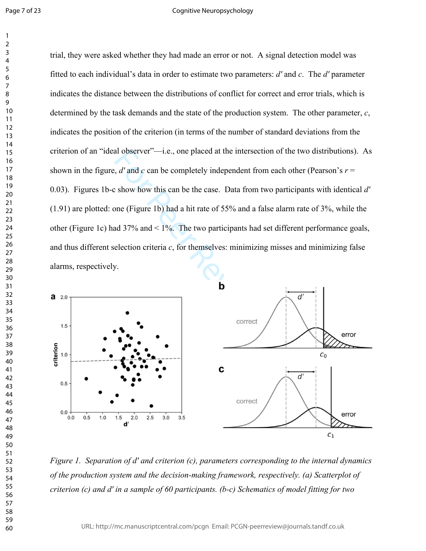#### Cognitive Neuropsychology

al observer"—i.e., one placed at the intersection of the two<br>  $\frac{1}{2}$ ,  $\frac{d}{d}$  and  $c$  can be completely independent from each other<br>  $\frac{1}{2}$  show how this can be the case. Data from two participan<br>
one (Figure 1b) trial, they were asked whether they had made an error or not. A signal detection model was fitted to each individual's data in order to estimate two parameters: *dʹ* and *c*. The *dʹ* parameter indicates the distance between the distributions of conflict for correct and error trials, which is determined by the task demands and the state of the production system. The other parameter, *c*, indicates the position of the criterion (in terms of the number of standard deviations from the criterion of an "ideal observer"—i.e., one placed at the intersection of the two distributions). As shown in the figure,  $d'$  and  $c$  can be completely independent from each other (Pearson's  $r =$ 0.03). Figures 1b-c show how this can be the case. Data from two participants with identical *dʹ* (1.91) are plotted: one (Figure 1b) had a hit rate of 55% and a false alarm rate of 3%, while the other (Figure 1c) had 37% and < 1%. The two participants had set different performance goals, and thus different selection criteria *c*, for themselves: minimizing misses and minimizing false alarms, respectively.



*Figure 1. Separation of dʹ and criterion (c), parameters corresponding to the internal dynamics of the production system and the decision-making framework, respectively. (a) Scatterplot of criterion (c) and dʹ in a sample of 60 participants. (b-c) Schematics of model fitting for two*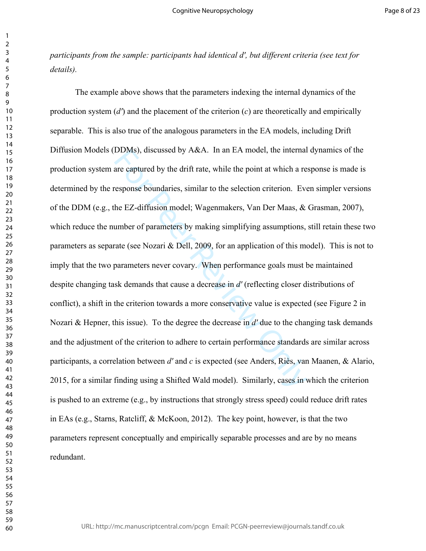*participants from the sample: participants had identical dʹ, but different criteria (see text for details).* 

DDMs), discussed by A&A. In an EA model, the internal<br>are captured by the drift rate, while the point at which a re<br>response boundaries, similar to the selection criterion. Eve<br>he EZ-diffusion model; Wagenmakers, Van Der The example above shows that the parameters indexing the internal dynamics of the production system (*dʹ*) and the placement of the criterion ( *c*) are theoretically and empirically separable. This is also true of the analogous parameters in the EA models, including Drift Diffusion Models (DDMs), discussed by A&A. In an EA model, the internal dynamics of the production system are captured by the drift rate, while the point at which a response is made is determined by the response boundaries, similar to the selection criterion. Even simpler versions of the DDM (e.g., the EZ-diffusion model; Wagenmakers, Van Der Maas, & Grasman, 2007), which reduce the number of parameters by making simplifying assumptions, still retain these two parameters as separate (see Nozari  $\&$  Dell, 2009, for an application of this model). This is not to imply that the two parameters never covary. When performance goals must be maintained despite changing task demands that cause a decrease in *dʹ* (reflecting closer distributions of conflict), a shift in the criterion towards a more conservative value is expected (see Figure 2 in Nozari & Hepner, this issue). To the degree the decrease in *dʹ* due to the changing task demands and the adjustment of the criterion to adhere to certain performance standards are similar across participants, a correlation between *dʹ* and *c* is expected (see Anders, Riès, van Maanen, & Alario, 2015, for a similar finding using a Shifted Wald model). Similarly, cases in which the criterion is pushed to an extreme (e.g., by instructions that strongly stress speed) could reduce drift rates in EAs (e.g., Starns, Ratcliff, & McKoon, 2012). The key point, however, is that the two parameters represent conceptually and empirically separable processes and are by no means redundant.

 $\mathbf{1}$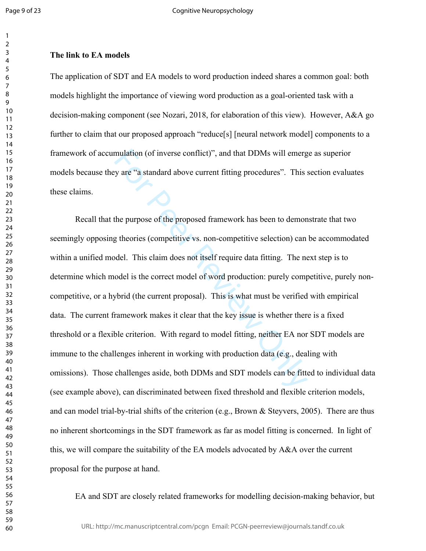### $\overline{2}$  $\overline{7}$

# **The link to EA models**

The application of SDT and EA models to word production indeed shares a common goal: both models highlight the importance of viewing word production as a goal-oriented task with a decision-making component (see Nozari, 2018, for elaboration of this view). However, A&A go further to claim that our proposed approach "reduce[s] [neural network model] components to a framework of accumulation (of inverse conflict)", and that DDMs will emerge as superior models because they are "a standard above current fitting procedures". This section evaluates these claims.

mulation (of inverse conflict)", and that DDMs will emerg<br>vy are "a standard above current fitting procedures". This :<br>the purpose of the proposed framework has been to demon<br>g theories (competitive vs. non-competitive sel Recall that the purpose of the proposed framework has been to demonstrate that two seemingly opposing theories (competitive vs. non-competitive selection) can be accommodated within a unified model. This claim does not itself require data fitting. The next step is to determine which model is the correct model of word production: purely competitive, purely noncompetitive, or a hybrid (the current proposal). This is what must be verified with empirical data. The current framework makes it clear that the key issue is whether there is a fixed threshold or a flexible criterion. With regard to model fitting, neither EA nor SDT models are immune to the challenges inherent in working with production data (e.g., dealing with omissions). Those challenges aside, both DDMs and SDT models can be fitted to individual data (see example above), can discriminated between fixed threshold and flexible criterion models, and can model trial-by-trial shifts of the criterion (e.g., Brown & Steyvers, 2005). There are thus no inherent shortcomings in the SDT framework as far as model fitting is concerned. In light of this, we will compare the suitability of the EA models advocated by A&A over the current proposal for the purpose at hand.

EA and SDT are closely related frameworks for modelling decision-making behavior, but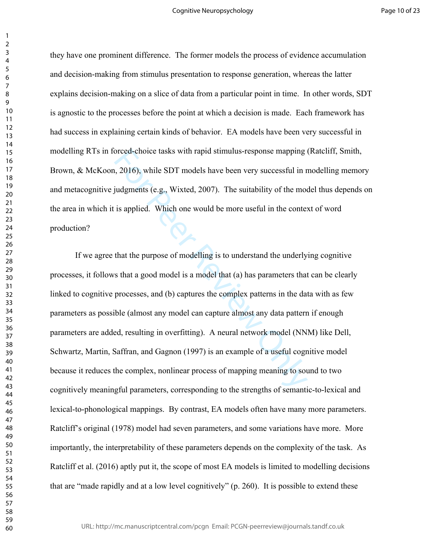$\mathbf{1}$ 

they have one prominent difference. The former models the process of evidence accumulation and decision-making from stimulus presentation to response generation, whereas the latter explains decision-making on a slice of data from a particular point in time. In other words, SDT is agnostic to the processes before the point at which a decision is made. Each framework has had success in explaining certain kinds of behavior. EA models have been very successful in modelling RTs in forced-choice tasks with rapid stimulus-response mapping (Ratcliff, Smith, Brown, & McKoon, 2016), while SDT models have been very successful in modelling memory and metacognitive judgments (e.g., Wixted, 2007). The suitability of the model thus depends on the area in which it is applied. Which one would be more useful in the context of word production?

orced-choice tasks with rapid stimulus-response mapping is<br>
1, 2016), while SDT models have been very successful in r<br>
ijudgments (e.g., Wixted, 2007). The suitability of the mod<br>
is applied. Which one would be more useful If we agree that the purpose of modelling is to understand the underlying cognitive processes, it follows that a good model is a model that (a) has parameters that can be clearly linked to cognitive processes, and (b) captures the complex patterns in the data with as few parameters as possible (almost any model can capture almost any data pattern if enough parameters are added, resulting in overfitting). A neural network model (NNM) like Dell, Schwartz, Martin, Saffran, and Gagnon (1997) is an example of a useful cognitive model because it reduces the complex, nonlinear process of mapping meaning to sound to two cognitively meaningful parameters, corresponding to the strengths of semantic-to-lexical and lexical-to-phonological mappings. By contrast, EA models often have many more parameters. Ratcliff's original (1978) model had seven parameters, and some variations have more. More importantly, the interpretability of these parameters depends on the complexity of the task. As Ratcliff et al. (2016) aptly put it, the scope of most EA models is limited to modelling decisions that are "made rapidly and at a low level cognitively" (p. 260). It is possible to extend these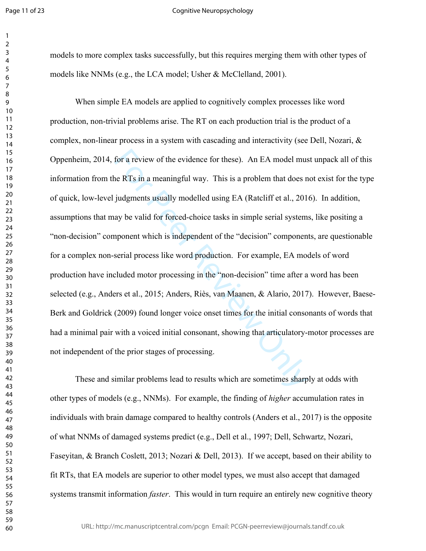### Cognitive Neuropsychology

models to more complex tasks successfully, but this requires merging them with other types of models like NNMs (e.g., the LCA model; Usher & McClelland, 2001).

for a review of the evidence for these). An EA model must<br>ne RTs in a meaningful way. This is a problem that does n<br>judgments usually modelled using EA (Ratcliff et al., 201<br>ay be valid for forced-choice tasks in simple se When simple EA models are applied to cognitively complex processes like word production, non-trivial problems arise. The RT on each production trial is the product of a complex, non-linear process in a system with cascading and interactivity (see Dell, Nozari, & Oppenheim, 2014, for a review of the evidence for these). An EA model must unpack all of this information from the RTs in a meaningful way. This is a problem that does not exist for the type of quick, low-level judgments usually modelled using EA (Ratcliff et al., 2016). In addition, assumptions that may be valid for forced-choice tasks in simple serial systems, like positing a "non-decision" component which is independent of the "decision" components, are questionable for a complex non-serial process like word production. For example, EA models of word production have included motor processing in the "non-decision" time after a word has been selected (e.g., Anders et al., 2015; Anders, Riès, van Maanen, & Alario, 2017). However, Baese-Berk and Goldrick (2009) found longer voice onset times for the initial consonants of words that had a minimal pair with a voiced initial consonant, showing that articulatory-motor processes are not independent of the prior stages of processing.

These and similar problems lead to results which are sometimes sharply at odds with other types of models (e.g., NNMs). For example, the finding of *higher* accumulation rates in individuals with brain damage compared to healthy controls (Anders et al., 2017) is the opposite of what NNMs of damaged systems predict (e.g., Dell et al., 1997; Dell, Schwartz, Nozari, Faseyitan, & Branch Coslett, 2013; Nozari & Dell, 2013). If we accept, based on their ability to fit RTs, that EA models are superior to other model types, we must also accept that damaged systems transmit information *faster*. This would in turn require an entirely new cognitive theory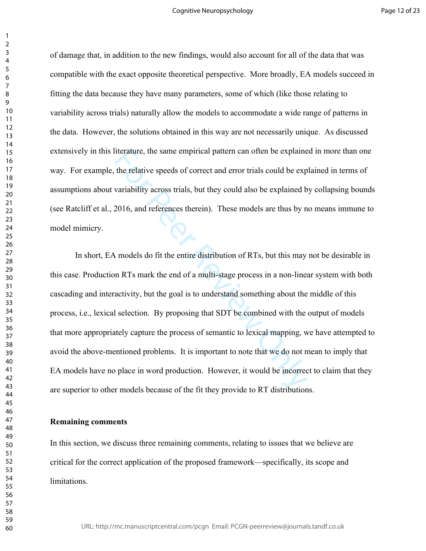of damage that, in addition to the new findings, would also account for all of the data that was compatible with the exact opposite theoretical perspective. More broadly, EA models succeed in fitting the data because they have many parameters, some of which (like those relating to variability across trials) naturally allow the models to accommodate a wide range of patterns in the data. However, the solutions obtained in this way are not necessarily unique. As discussed extensively in this literature, the same empirical pattern can often be explained in more than one way. For example, the relative speeds of correct and error trials could be explained in terms of assumptions about variability across trials, but they could also be explained by collapsing bounds (see Ratcliff et al., 2016, and references therein). These models are thus by no means immune to model mimicry.

literature, the same empirical pattern can often be explaine<br>the relative speeds of correct and error trials could be exp<br>variability across trials, but they could also be explained b<br>2016, and references therein). These m In short, EA models do fit the entire distribution of RTs, but this may not be desirable in this case. Production RTs mark the end of a multi-stage process in a non-linear system with both cascading and interactivity, but the goal is to understand something about the middle of this process, i.e., lexical selection. By proposing that SDT be combined with the output of models that more appropriately capture the process of semantic to lexical mapping, we have attempted to avoid the above-mentioned problems. It is important to note that we do not mean to imply that EA models have no place in word production. However, it would be incorrect to claim that they are superior to other models because of the fit they provide to RT distributions.

### **Remaining comments**

In this section, we discuss three remaining comments, relating to issues that we believe are critical for the correct application of the proposed framework—specifically, its scope and limitations.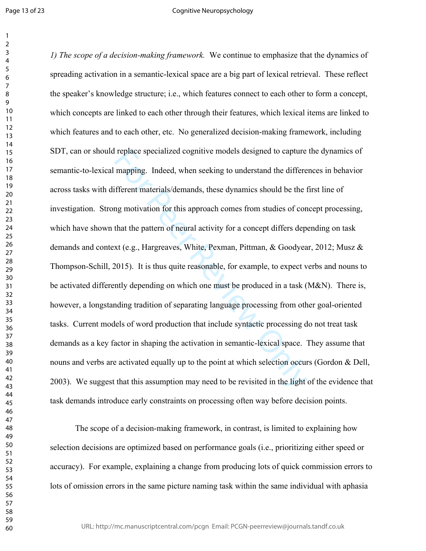### Cognitive Neuropsychology

replace specialized cognitive models designed to capture<br>mapping. Indeed, when seeking to understand the differe<br>fferent materials/demands, these dynamics should be the f<br>ng motivation for this approach comes from studies *1) The scope of a decision-making framework.* We continue to emphasize that the dynamics of spreading activation in a semantic-lexical space are a big part of lexical retrieval. These reflect the speaker's knowledge structure; i.e., which features connect to each other to form a concept, which concepts are linked to each other through their features, which lexical items are linked to which features and to each other, etc. No generalized decision-making framework, including SDT, can or should replace specialized cognitive models designed to capture the dynamics of semantic-to-lexical mapping. Indeed, when seeking to understand the differences in behavior across tasks with different materials/demands, these dynamics should be the first line of investigation. Strong motivation for this approach comes from studies of concept processing, which have shown that the pattern of neural activity for a concept differs depending on task demands and context (e.g., Hargreaves, White, Pexman, Pittman, & Goodyear, 2012; Musz & Thompson-Schill, 2015). It is thus quite reasonable, for example, to expect verbs and nouns to be activated differently depending on which one must be produced in a task (M&N). There is, however, a longstanding tradition of separating language processing from other goal-oriented tasks. Current models of word production that include syntactic processing do not treat task demands as a key factor in shaping the activation in semantic-lexical space. They assume that nouns and verbs are activated equally up to the point at which selection occurs (Gordon  $\&$  Dell, 2003). We suggest that this assumption may need to be revisited in the light of the evidence that task demands introduce early constraints on processing often way before decision points.

The scope of a decision-making framework, in contrast, is limited to explaining how selection decisions are optimized based on performance goals (i.e., prioritizing either speed or accuracy). For example, explaining a change from producing lots of quick commission errors to lots of omission errors in the same picture naming task within the same individual with aphasia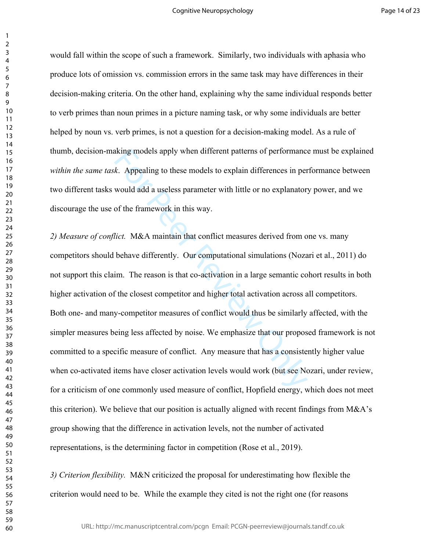$\mathbf{1}$ 

would fall within the scope of such a framework. Similarly, two individuals with aphasia who produce lots of omission vs. commission errors in the same task may have differences in their decision-making criteria. On the other hand, explaining why the same individual responds better to verb primes than noun primes in a picture naming task, or why some individuals are better helped by noun vs. verb primes, is not a question for a decision-making model. As a rule of thumb, decision-making models apply when different patterns of performance must be explained *within the same task*. Appealing to these models to explain differences in performance between two different tasks would add a useless parameter with little or no explanatory power, and we discourage the use of the framework in this way.

king models apply when different patterns of performance<br>
k. Appealing to these models to explain differences in per<br>
would add a useless parameter with little or no explanator<br>
of the framework in this way.<br>
lict. M&A mai *2) Measure of conflict.* M&A maintain that conflict measures derived from one vs. many competitors should behave differently. Our computational simulations (Nozari et al., 2011) do not support this claim. The reason is that co-activation in a large semantic cohort results in both higher activation of the closest competitor and higher total activation across all competitors. Both one- and many-competitor measures of conflict would thus be similarly affected, with the simpler measures being less affected by noise. We emphasize that our proposed framework is not committed to a specific measure of conflict. Any measure that has a consistently higher value when co-activated items have closer activation levels would work (but see Nozari, under review, for a criticism of one commonly used measure of conflict, Hopfield energy, which does not meet this criterion). We believe that our position is actually aligned with recent findings from M&A's group showing that the difference in activation levels, not the number of activated representations, is the determining factor in competition (Rose et al., 2019).

*3) Criterion flexibility.* M&N criticized the proposal for underestimating how flexible the criterion would need to be. While the example they cited is not the right one (for reasons

URL: http://mc.manuscriptcentral.com/pcgn Email: PCGN-peerreview@journals.tandf.co.uk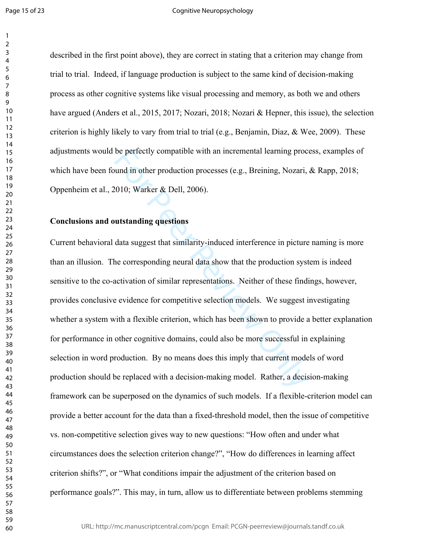### Cognitive Neuropsychology

described in the first point above), they are correct in stating that a criterion may change from trial to trial. Indeed, if language production is subject to the same kind of decision-making process as other cognitive systems like visual processing and memory, as both we and others have argued (Anders et al., 2015, 2017; Nozari, 2018; Nozari & Hepner, this issue), the selection criterion is highly likely to vary from trial to trial (e.g., Benjamin, Diaz,  $\&$  Wee, 2009). These adjustments would be perfectly compatible with an incremental learning process, examples of which have been found in other production processes (e.g., Breining, Nozari, & Rapp, 2018; Oppenheim et al., 2010; Warker & Dell, 2006).

# **Conclusions and outstanding questions**

be perfectly compatible with an incremental learning processed (e.g., Breining, Nozari, 2010; Warker & Dell, 2006).<br> **Example 12.1006**<br> **Example 12.1006**<br> **Example 12.1006**<br> **Example 12.1006**<br> **Example 12.1006**<br> **Example 1** Current behavioral data suggest that similarity-induced interference in picture naming is more than an illusion. The corresponding neural data show that the production system is indeed sensitive to the co-activation of similar representations. Neither of these findings, however, provides conclusive evidence for competitive selection models. We suggest investigating whether a system with a flexible criterion, which has been shown to provide a better explanation for performance in other cognitive domains, could also be more successful in explaining selection in word production. By no means does this imply that current models of word production should be replaced with a decision-making model. Rather, a decision-making framework can be superposed on the dynamics of such models. If a flexible-criterion model can provide a better account for the data than a fixed-threshold model, then the issue of competitive vs. non-competitive selection gives way to new questions: "How often and under what circumstances does the selection criterion change?", "How do differences in learning affect criterion shifts?", or "What conditions impair the adjustment of the criterion based on performance goals?". This may, in turn, allow us to differentiate between problems stemming

URL: http://mc.manuscriptcentral.com/pcgn Email: PCGN-peerreview@journals.tandf.co.uk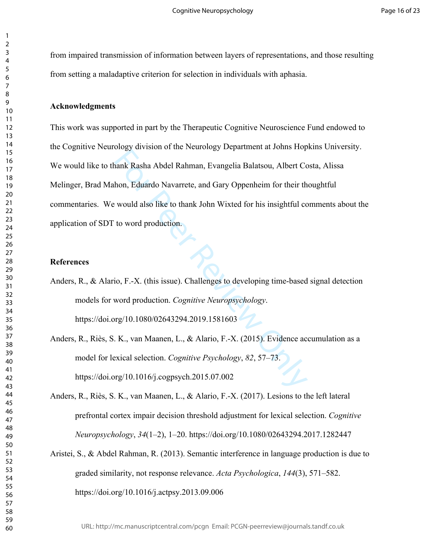from impaired transmission of information between layers of representations, and those resulting from setting a maladaptive criterion for selection in individuals with aphasia.

### **Acknowledgments**

For Peer Review of The Newtonia, Evangelia Balatsou, Albert Compane Response Nobel Rahman, Evangelia Balatsou, Albert Compane Review of a straightful condition.<br>
For Peer Review Oppenheim for their the would also like to t This work was supported in part by the Therapeutic Cognitive Neuroscience Fund endowed to the Cognitive Neurology division of the Neurology Department at Johns Hopkins University. We would like to thank Rasha Abdel Rahman, Evangelia Balatsou, Albert Costa, Alissa Melinger, Brad Mahon, Eduardo Navarrete, and Gary Oppenheim for their thoughtful commentaries. We would also like to thank John Wixted for his insightful comments about the application of SDT to word production.

### **References**

- Anders, R., & Alario, F.-X. (this issue). Challenges to developing time-based signal detection models for word production. *Cognitive Neuropsychology*. https://doi.org/10.1080/02643294.2019.1581603
- Anders, R., Riès, S. K., van Maanen, L., & Alario, F.-X. (2015). Evidence accumulation as a model for lexical selection. *Cognitive Psychology*, *82*, 57–73. https://doi.org/10.1016/j.cogpsych.2015.07.002
- Anders, R., Riès, S. K., van Maanen, L., & Alario, F.-X. (2017). Lesions to the left lateral prefrontal cortex impair decision threshold adjustment for lexical selection. *Cognitive Neuropsychology*, *34*(1–2), 1–20. https://doi.org/10.1080/02643294.2017.1282447
- Aristei, S., & Abdel Rahman, R. (2013). Semantic interference in language production is due to graded similarity, not response relevance. *Acta Psychologica*, *144*(3), 571–582. https://doi.org/10.1016/j.actpsy.2013.09.006

 $\mathbf{1}$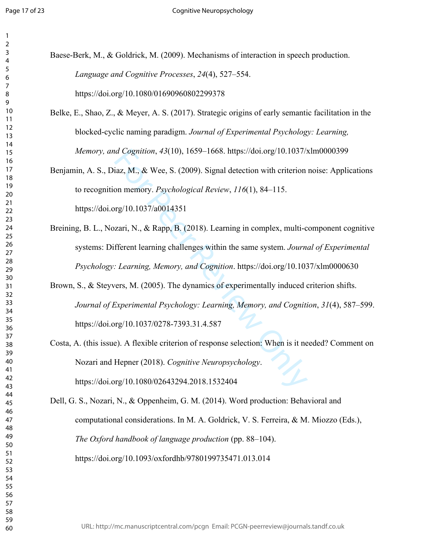| 1                                  |  |
|------------------------------------|--|
| 2                                  |  |
| 3<br>4                             |  |
| 5                                  |  |
| 6                                  |  |
|                                    |  |
| 8                                  |  |
| 9                                  |  |
| $\overline{10}$<br>11              |  |
| $\overline{a}$<br>1                |  |
| 3<br>1                             |  |
| 14                                 |  |
| 15                                 |  |
| 16                                 |  |
| 17                                 |  |
| 18<br>19                           |  |
| 20                                 |  |
| $\overline{21}$                    |  |
| $^{22}$                            |  |
| 23                                 |  |
| $^{24}$                            |  |
| 25<br>26                           |  |
| 27                                 |  |
| 28                                 |  |
| 29                                 |  |
| 30                                 |  |
| $\overline{31}$<br>$\overline{32}$ |  |
| 33                                 |  |
| 34                                 |  |
| 35                                 |  |
| 36                                 |  |
| 37                                 |  |
| 38<br>39                           |  |
| 40                                 |  |
| 41                                 |  |
| 42                                 |  |
| 43                                 |  |
| 44                                 |  |
| 45<br>46                           |  |
| 47                                 |  |
| 48                                 |  |
| 49                                 |  |
| 50                                 |  |
| 51                                 |  |
| 52<br>53                           |  |
| 54                                 |  |
| 55                                 |  |
| 56                                 |  |
| 57                                 |  |
| 58                                 |  |
| 59<br>60                           |  |
|                                    |  |

| Baese-Berk, M., & Goldrick, M. (2009). Mechanisms of interaction in speech production. |
|----------------------------------------------------------------------------------------|
| Language and Cognitive Processes, 24(4), 527–554.                                      |
| https://doi.org/10.1080/01690960802299378                                              |

- Belke, E., Shao, Z., & Meyer, A. S. (2017). Strategic origins of early semantic facilitation in the blocked-cyclic naming paradigm. *Journal of Experimental Psychology: Learning, Memory, and Cognition*, *43*(10), 1659–1668. https://doi.org/10.1037/xlm0000399
- Benjamin, A. S., Diaz, M., & Wee, S. (2009). Signal detection with criterion noise: Applications to recognition memory. *Psychological Review*, *116*(1), 84–115. https://doi.org/10.1037/a0014351
- Breining, B. L., Nozari, N., & Rapp, B. (2018). Learning in complex, multi-component cognitive systems: Different learning challenges within the same system. *Journal of Experimental Psychology: Learning, Memory, and Cognition*. https://doi.org/10.1037/xlm0000630
- d Cognition, 43(10), 1659–1668. https://doi.org/10.1037/5<br>iaz, M., & Wee, S. (2009). Signal detection with criterion<br>on memory. *Psychological Review*, 116(1), 84–115.<br>reg/10.1037/a0014351<br>zari, N., & Rapp, B. (2018). Lear Brown, S., & Steyvers, M. (2005). The dynamics of experimentally induced criterion shifts. *Journal of Experimental Psychology: Learning, Memory, and Cognition*, *31*(4), 587–599. https://doi.org/10.1037/0278-7393.31.4.587
- Costa, A. (this issue). A flexible criterion of response selection: When is it needed? Comment on Nozari and Hepner (2018). *Cognitive Neuropsychology*. https://doi.org/10.1080/02643294.2018.1532404
- Dell, G. S., Nozari, N., & Oppenheim, G. M. (2014). Word production: Behavioral and computational considerations. In M. A. Goldrick, V. S. Ferreira, & M. Miozzo (Eds.), *The Oxford handbook of language production* (pp. 88–104). https://doi.org/10.1093/oxfordhb/9780199735471.013.014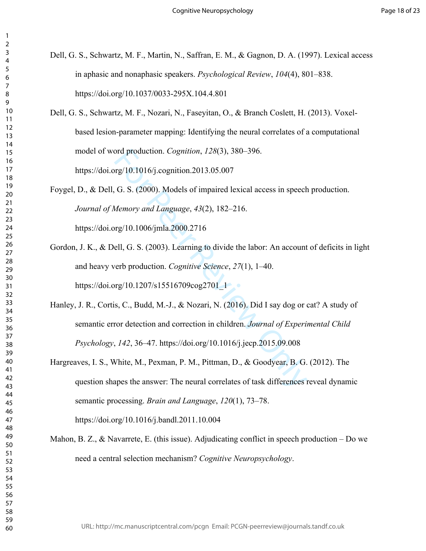- Dell, G. S., Schwartz, M. F., Martin, N., Saffran, E. M., & Gagnon, D. A. (1997). Lexical access in aphasic and nonaphasic speakers. *Psychological Review*, *104*(4), 801–838. https://doi.org/10.1037/0033-295X.104.4.801
- Dell, G. S., Schwartz, M. F., Nozari, N., Faseyitan, O., & Branch Coslett, H. (2013). Voxelbased lesion-parameter mapping: Identifying the neural correlates of a computational model of word production. *Cognition*, *128*(3), 380–396. https://doi.org/10.1016/j.cognition.2013.05.007
- Foygel, D., & Dell, G. S. (2000). Models of impaired lexical access in speech production. *Journal of Memory and Language*, *43*(2), 182–216.

https://doi.org/10.1006/jmla.2000.2716

- Gordon, J. K., & Dell, G. S. (2003). Learning to divide the labor: An account of deficits in light and heavy verb production. *Cognitive Science*, *27*(1), 1–40. https://doi.org/10.1207/s15516709cog2701\_1
- ord production. *Cognition*, *128*(3), 380–396.<br>
rg/10.1016/j.cognition.2013.05.007<br>
G. S. (2000). Models of impaired lexical access in speech<br> *Memory and Language*, 43(2), 182–216.<br>
rg/10.1006/jmla.2000.2716<br>
ell, G. S. Hanley, J. R., Cortis, C., Budd, M.-J., & Nozari, N. (2016). Did I say dog or cat? A study of semantic error detection and correction in children. *Journal of Experimental Child Psychology*, *142*, 36–47. https://doi.org/10.1016/j.jecp.2015.09.008
- Hargreaves, I. S., White, M., Pexman, P. M., Pittman, D., & Goodyear, B. G. (2012). The question shapes the answer: The neural correlates of task differences reveal dynamic semantic processing. *Brain and Language*, *120*(1), 73–78. https://doi.org/10.1016/j.bandl.2011.10.004
- Mahon, B. Z.,  $\&$  Navarrete, E. (this issue). Adjudicating conflict in speech production Do we need a central selection mechanism? *Cognitive Neuropsychology* .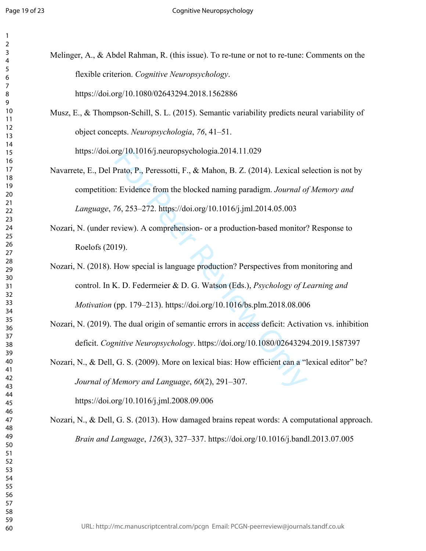| 1<br>2         |                                                                                                    |
|----------------|----------------------------------------------------------------------------------------------------|
| 3<br>4         | Melinger, A., & Abdel Rahman, R. (this issue). To re-tune or not to re-tune: Comments on the       |
| 5<br>6         | flexible criterion. Cognitive Neuropsychology.                                                     |
| 7<br>8         | https://doi.org/10.1080/02643294.2018.1562886                                                      |
| 9<br>10        | Musz, E., & Thompson-Schill, S. L. (2015). Semantic variability predicts neural variability of     |
| 11<br>12<br>13 | object concepts. Neuropsychologia, 76, 41–51.                                                      |
| 14<br>15       | https://doi.org/10.1016/j.neuropsychologia.2014.11.029                                             |
| 16<br>17       | Navarrete, E., Del Prato, P., Peressotti, F., & Mahon, B. Z. (2014). Lexical selection is not by   |
| 18<br>19       |                                                                                                    |
| 20<br>21       | competition: Evidence from the blocked naming paradigm. Journal of Memory and                      |
| 22<br>23       | Language, 76, 253-272. https://doi.org/10.1016/j.jml.2014.05.003                                   |
| 24<br>25       | Nozari, N. (under review). A comprehension- or a production-based monitor? Response to             |
| 26             | Roelofs (2019).                                                                                    |
| 27<br>28<br>29 | Nozari, N. (2018). How special is language production? Perspectives from monitoring and            |
| 30<br>31       | control. In K. D. Federmeier & D. G. Watson (Eds.), Psychology of Learning and                     |
| 32<br>33       | Motivation (pp. 179-213). https://doi.org/10.1016/bs.plm.2018.08.006                               |
| 34<br>35       |                                                                                                    |
|                | Nozari, N. (2019). The dual origin of semantic errors in access deficit: Activation vs. inhibition |
| 39             | deficit. Cognitive Neuropsychology. https://doi.org/10.1080/02643294.2019.1587397                  |
|                | Nozari, N., & Dell, G. S. (2009). More on lexical bias: How efficient can a "lexical editor" be?   |
|                |                                                                                                    |
|                | Journal of Memory and Language, 60(2), 291-307.                                                    |
|                | https://doi.org/10.1016/j.jml.2008.09.006                                                          |
|                | Nozari, N., & Dell, G. S. (2013). How damaged brains repeat words: A computational approac         |
| 48<br>49       | Brain and Language, 126(3), 327-337. https://doi.org/10.1016/j.bandl.2013.07.005                   |
| 50<br>51       |                                                                                                    |
| 52<br>53       |                                                                                                    |
| 54             |                                                                                                    |
| 55             |                                                                                                    |
| 56             |                                                                                                    |

- $\alpha$  Mahon, B. Z. (2014). Lexical selection is not by ked naming paradigm. *Journal of Memory and Language*, *76*, 253–272. https://doi.org/10.1016/j.jml.2014.05.003
- n- or a production-based monitor? Response to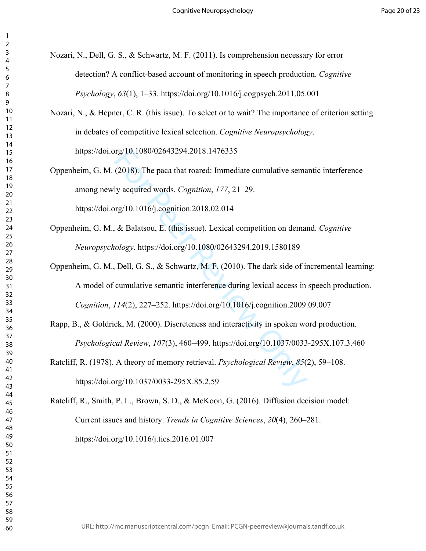Nozari, N., Dell, G. S., & Schwartz, M. F. (2011). Is comprehension necessary for error detection? A conflict-based account of monitoring in speech production. *Cognitive Psychology*, *63*(1), 1–33. https://doi.org/10.1016/j.cogpsych.2011.05.001

- Nozari, N., & Hepner, C. R. (this issue). To select or to wait? The importance of criterion setting in debates of competitive lexical selection. *Cognitive Neuropsychology*. https://doi.org/10.1080/02643294.2018.1476335
- rg/10.1080/02643294.2018.1476335<br>(2018). The paca that roared: Immediate cumulative sema<br>ly acquired words. *Cognition*, 177, 21–29.<br>rg/10.1016/j.cognition.2018.02.014<br>& Balatsou, E. (this issue). Lexical competition on d Oppenheim, G. M. (2018). The paca that roared: Immediate cumulative semantic interference among newly acquired words. *Cognition*, *177*, 21–29. https://doi.org/10.1016/j.cognition.2018.02.014
- Oppenheim, G. M., & Balatsou, E. (this issue). Lexical competition on demand. *Cognitive Neuropsychology*. https://doi.org/10.1080/02643294.2019.1580189
- Oppenheim, G. M., Dell, G. S., & Schwartz, M. F. (2010). The dark side of incremental learning: A model of cumulative semantic interference during lexical access in speech production. *Cognition*, *114*(2), 227–252. https://doi.org/10.1016/j.cognition.2009.09.007
- Rapp, B., & Goldrick, M. (2000). Discreteness and interactivity in spoken word production. *Psychological Review*, *107*(3), 460–499. https://doi.org/10.1037/0033-295X.107.3.460
- Ratcliff, R. (1978). A theory of memory retrieval. *Psychological Review*, *85*(2), 59–108. https://doi.org/10.1037/0033-295X.85.2.59

Ratcliff, R., Smith, P. L., Brown, S. D., & McKoon, G. (2016). Diffusion decision model: Current issues and history. *Trends in Cognitive Sciences*, *20*(4), 260–281. https://doi.org/10.1016/j.tics.2016.01.007

 $\mathbf{1}$  $\overline{2}$